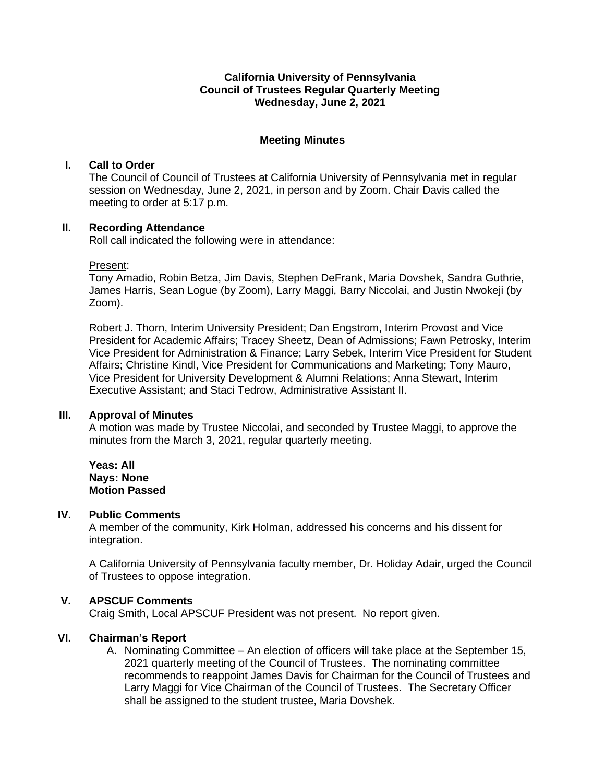#### **California University of Pennsylvania Council of Trustees Regular Quarterly Meeting Wednesday, June 2, 2021**

#### **Meeting Minutes**

#### **I. Call to Order**

The Council of Council of Trustees at California University of Pennsylvania met in regular session on Wednesday, June 2, 2021, in person and by Zoom. Chair Davis called the meeting to order at 5:17 p.m.

#### **II. Recording Attendance**

Roll call indicated the following were in attendance:

Present:

Tony Amadio, Robin Betza, Jim Davis, Stephen DeFrank, Maria Dovshek, Sandra Guthrie, James Harris, Sean Logue (by Zoom), Larry Maggi, Barry Niccolai, and Justin Nwokeji (by Zoom).

Robert J. Thorn, Interim University President; Dan Engstrom, Interim Provost and Vice President for Academic Affairs; Tracey Sheetz, Dean of Admissions; Fawn Petrosky, Interim Vice President for Administration & Finance; Larry Sebek, Interim Vice President for Student Affairs; Christine Kindl, Vice President for Communications and Marketing; Tony Mauro, Vice President for University Development & Alumni Relations; Anna Stewart, Interim Executive Assistant; and Staci Tedrow, Administrative Assistant II.

#### **III. Approval of Minutes**

A motion was made by Trustee Niccolai, and seconded by Trustee Maggi, to approve the minutes from the March 3, 2021, regular quarterly meeting.

**Yeas: All Nays: None Motion Passed**

#### **IV. Public Comments**

A member of the community, Kirk Holman, addressed his concerns and his dissent for integration.

A California University of Pennsylvania faculty member, Dr. Holiday Adair, urged the Council of Trustees to oppose integration.

## **V. APSCUF Comments**

Craig Smith, Local APSCUF President was not present. No report given.

## **VI. Chairman's Report**

A. Nominating Committee – An election of officers will take place at the September 15, 2021 quarterly meeting of the Council of Trustees. The nominating committee recommends to reappoint James Davis for Chairman for the Council of Trustees and Larry Maggi for Vice Chairman of the Council of Trustees. The Secretary Officer shall be assigned to the student trustee, Maria Dovshek.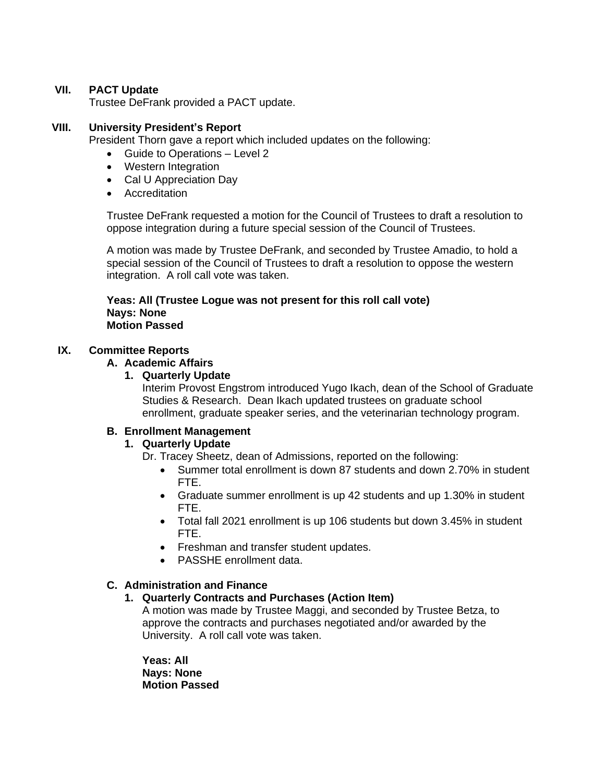## **VII. PACT Update**

Trustee DeFrank provided a PACT update.

#### **VIII. University President's Report**

President Thorn gave a report which included updates on the following:

- Guide to Operations Level 2
- Western Integration
- Cal U Appreciation Day
- Accreditation

Trustee DeFrank requested a motion for the Council of Trustees to draft a resolution to oppose integration during a future special session of the Council of Trustees.

A motion was made by Trustee DeFrank, and seconded by Trustee Amadio, to hold a special session of the Council of Trustees to draft a resolution to oppose the western integration. A roll call vote was taken.

#### **Yeas: All (Trustee Logue was not present for this roll call vote) Nays: None Motion Passed**

## **IX. Committee Reports**

# **A. Academic Affairs**

## **1. Quarterly Update**

Interim Provost Engstrom introduced Yugo Ikach, dean of the School of Graduate Studies & Research. Dean Ikach updated trustees on graduate school enrollment, graduate speaker series, and the veterinarian technology program.

## **B. Enrollment Management**

## **1. Quarterly Update**

Dr. Tracey Sheetz, dean of Admissions, reported on the following:

- Summer total enrollment is down 87 students and down 2.70% in student FTE.
- Graduate summer enrollment is up 42 students and up 1.30% in student FTE.
- Total fall 2021 enrollment is up 106 students but down 3.45% in student FTE.
- Freshman and transfer student updates.
- PASSHE enrollment data.

## **C. Administration and Finance**

**1. Quarterly Contracts and Purchases (Action Item)**

A motion was made by Trustee Maggi, and seconded by Trustee Betza, to approve the contracts and purchases negotiated and/or awarded by the University. A roll call vote was taken.

**Yeas: All Nays: None Motion Passed**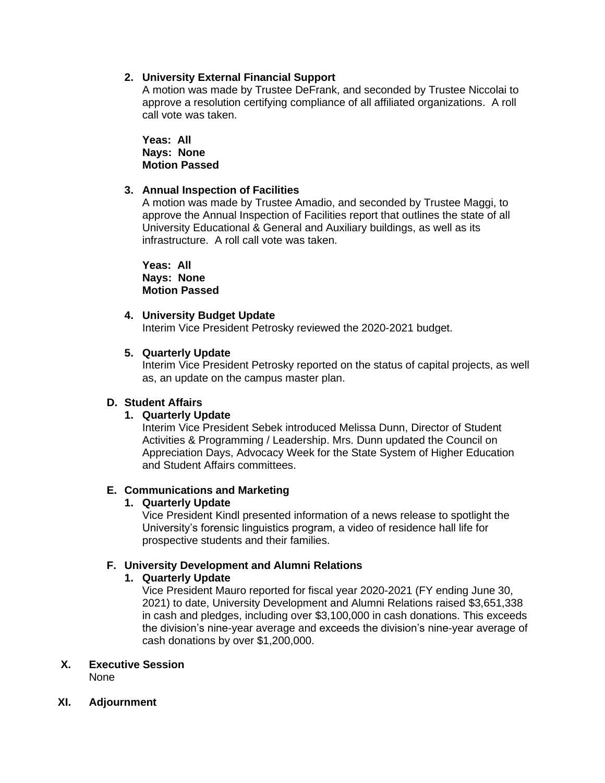# **2. University External Financial Support**

A motion was made by Trustee DeFrank, and seconded by Trustee Niccolai to approve a resolution certifying compliance of all affiliated organizations. A roll call vote was taken.

**Yeas: All Nays: None Motion Passed**

# **3. Annual Inspection of Facilities**

A motion was made by Trustee Amadio, and seconded by Trustee Maggi, to approve the Annual Inspection of Facilities report that outlines the state of all University Educational & General and Auxiliary buildings, as well as its infrastructure. A roll call vote was taken.

**Yeas: All Nays: None Motion Passed**

## **4. University Budget Update**

Interim Vice President Petrosky reviewed the 2020-2021 budget.

# **5. Quarterly Update**

Interim Vice President Petrosky reported on the status of capital projects, as well as, an update on the campus master plan.

## **D. Student Affairs**

## **1. Quarterly Update**

Interim Vice President Sebek introduced Melissa Dunn, Director of Student Activities & Programming / Leadership. Mrs. Dunn updated the Council on Appreciation Days, Advocacy Week for the State System of Higher Education and Student Affairs committees.

# **E. Communications and Marketing**

# **1. Quarterly Update**

Vice President Kindl presented information of a news release to spotlight the University's forensic linguistics program, a video of residence hall life for prospective students and their families.

# **F. University Development and Alumni Relations**

## **1. Quarterly Update**

Vice President Mauro reported for fiscal year 2020-2021 (FY ending June 30, 2021) to date, University Development and Alumni Relations raised \$3,651,338 in cash and pledges, including over \$3,100,000 in cash donations. This exceeds the division's nine-year average and exceeds the division's nine-year average of cash donations by over \$1,200,000.

## **X. Executive Session**

None

## **XI. Adjournment**